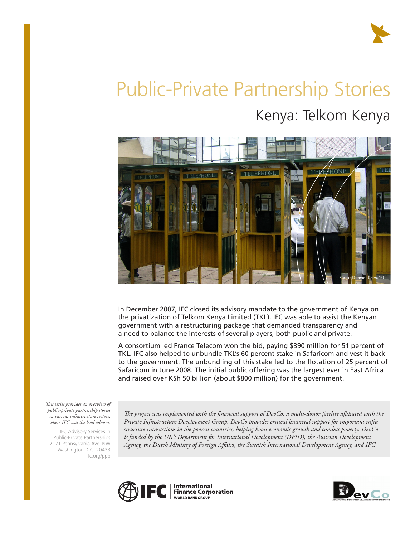

# Public-Private Partnership Stories Kenya: Telkom Kenya



In December 2007, IFC closed its advisory mandate to the government of Kenya on the privatization of Telkom Kenya Limited (TKL). IFC was able to assist the Kenyan government with a restructuring package that demanded transparency and a need to balance the interests of several players, both public and private.

A consortium led France Telecom won the bid, paying \$390 million for 51 percent of TKL. IFC also helped to unbundle TKL's 60 percent stake in Safaricom and vest it back to the government. The unbundling of this stake led to the flotation of 25 percent of Safaricom in June 2008. The initial public offering was the largest ever in East Africa and raised over KSh 50 billion (about \$800 million) for the government.

*This series provides an overview of public-private partnership stories in various infrastructure sectors, where IFC was the lead advisor.* 

IFC Advisory Services in Public-Private Partnerships 2121 Pennsylvania Ave. NW Washington D.C. 20433 ifc.org/ppp

*The project was implemented with the financial support of DevCo, a multi-donor facility affiliated with the Private Infrastructure Development Group. DevCo provides critical financial support for important infrastructure transactions in the poorest countries, helping boost economic growth and combat poverty. DevCo is funded by the UK's Department for International Development (DFID), the Austrian Development Agency, the Dutch Ministry of Foreign Affairs, the Swedish International Development Agency, and IFC.*